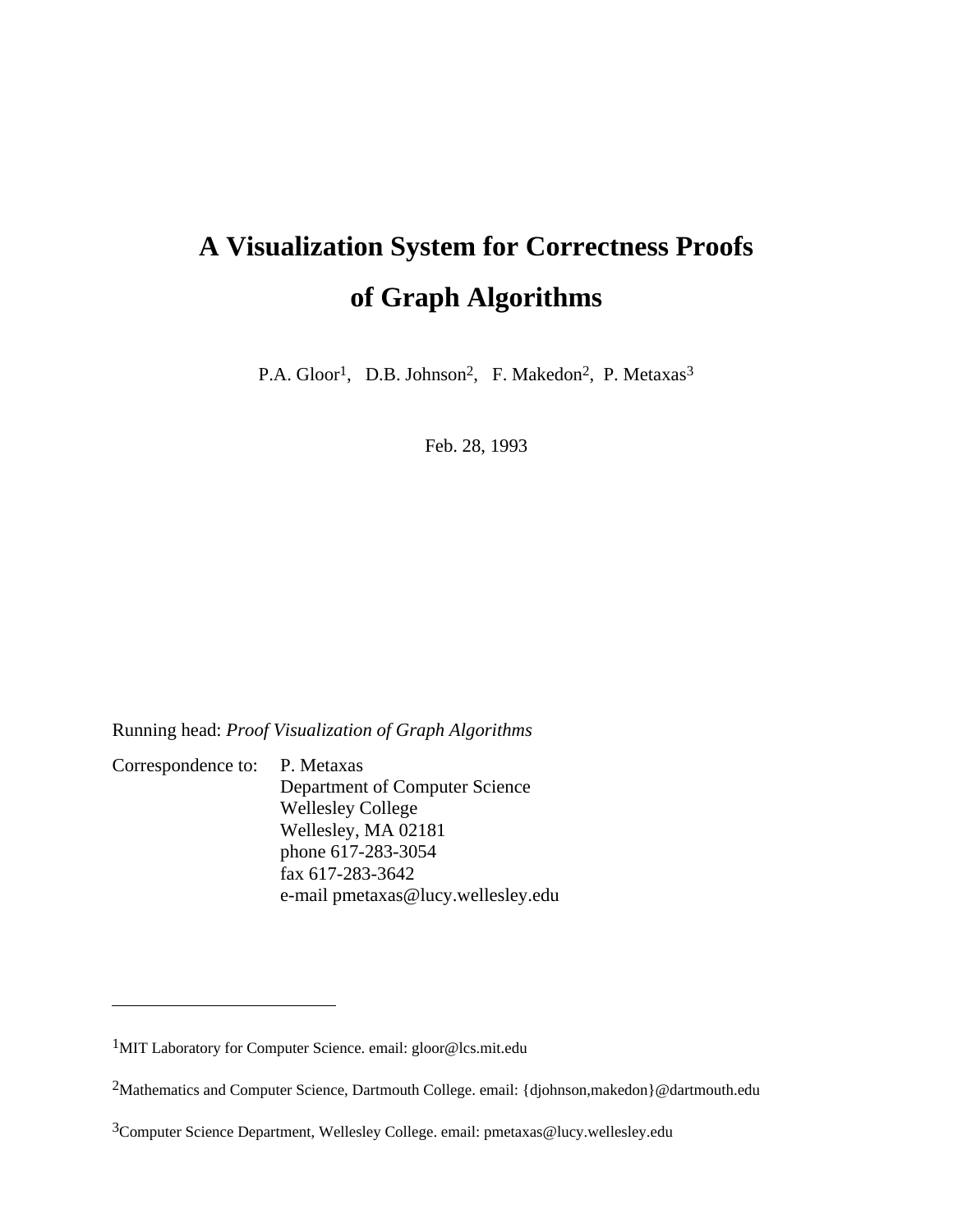# **A Visualization System for Correctness Proofs of Graph Algorithms**

P.A. Gloor<sup>1</sup>, D.B. Johnson<sup>2</sup>, F. Makedon<sup>2</sup>, P. Metaxas<sup>3</sup>

Feb. 28, 1993

Running head: *Proof Visualization of Graph Algorithms*

Correspondence to: P. Metaxas Department of Computer Science Wellesley College Wellesley, MA 02181 phone 617-283-3054 fax 617-283-3642 e-mail pmetaxas@lucy.wellesley.edu

 $\overline{a}$ 

<sup>1</sup>MIT Laboratory for Computer Science. email: gloor@lcs.mit.edu

<sup>&</sup>lt;sup>2</sup>Mathematics and Computer Science, Dartmouth College. email: {djohnson,makedon}@dartmouth.edu

<sup>3</sup>Computer Science Department, Wellesley College. email: pmetaxas@lucy.wellesley.edu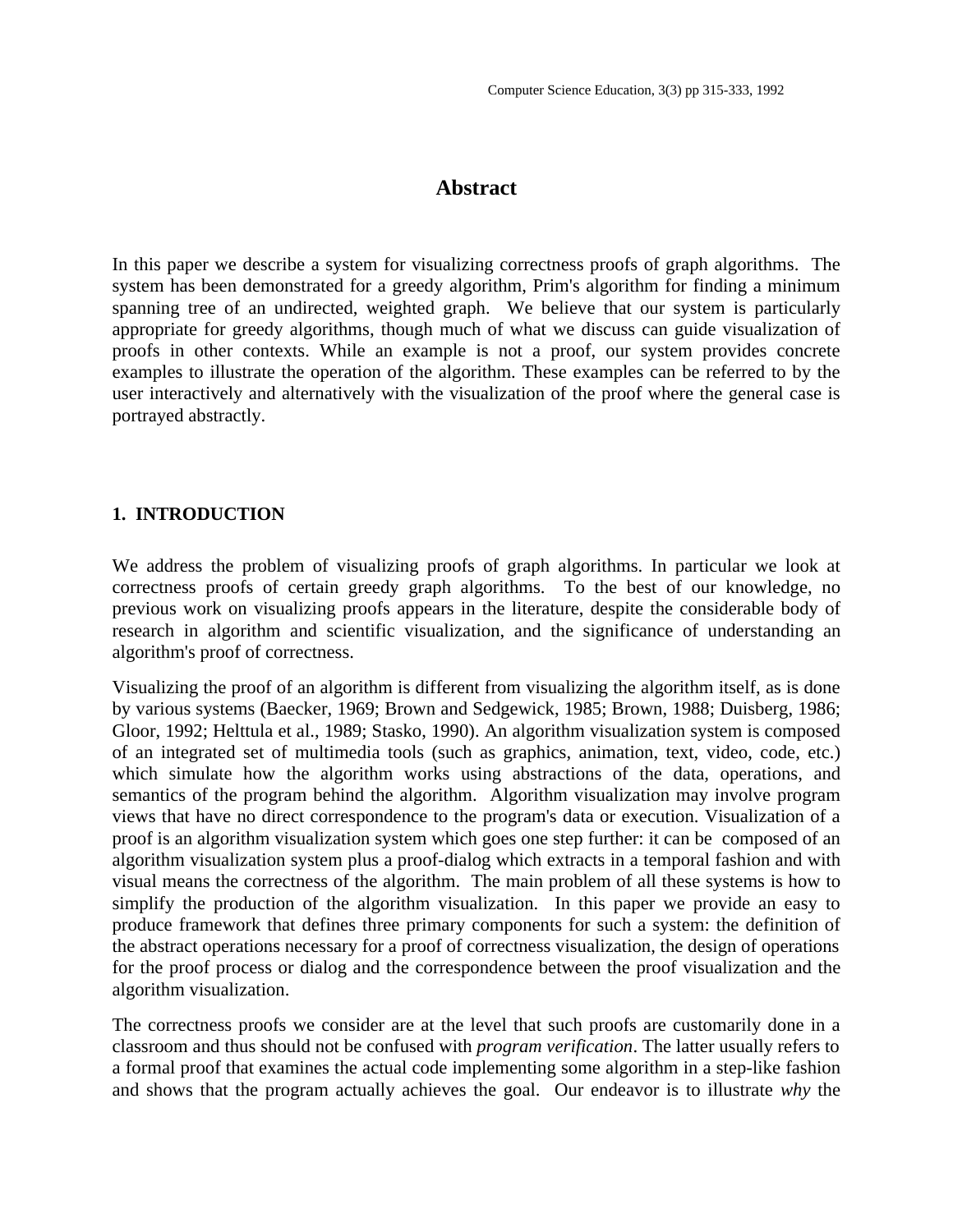#### **Abstract**

In this paper we describe a system for visualizing correctness proofs of graph algorithms. The system has been demonstrated for a greedy algorithm, Prim's algorithm for finding a minimum spanning tree of an undirected, weighted graph. We believe that our system is particularly appropriate for greedy algorithms, though much of what we discuss can guide visualization of proofs in other contexts. While an example is not a proof, our system provides concrete examples to illustrate the operation of the algorithm. These examples can be referred to by the user interactively and alternatively with the visualization of the proof where the general case is portrayed abstractly.

#### **1. INTRODUCTION**

We address the problem of visualizing proofs of graph algorithms. In particular we look at correctness proofs of certain greedy graph algorithms. To the best of our knowledge, no previous work on visualizing proofs appears in the literature, despite the considerable body of research in algorithm and scientific visualization, and the significance of understanding an algorithm's proof of correctness.

Visualizing the proof of an algorithm is different from visualizing the algorithm itself, as is done by various systems (Baecker, 1969; Brown and Sedgewick, 1985; Brown, 1988; Duisberg, 1986; Gloor, 1992; Helttula et al., 1989; Stasko, 1990). An algorithm visualization system is composed of an integrated set of multimedia tools (such as graphics, animation, text, video, code, etc.) which simulate how the algorithm works using abstractions of the data, operations, and semantics of the program behind the algorithm. Algorithm visualization may involve program views that have no direct correspondence to the program's data or execution. Visualization of a proof is an algorithm visualization system which goes one step further: it can be composed of an algorithm visualization system plus a proof-dialog which extracts in a temporal fashion and with visual means the correctness of the algorithm. The main problem of all these systems is how to simplify the production of the algorithm visualization. In this paper we provide an easy to produce framework that defines three primary components for such a system: the definition of the abstract operations necessary for a proof of correctness visualization, the design of operations for the proof process or dialog and the correspondence between the proof visualization and the algorithm visualization.

The correctness proofs we consider are at the level that such proofs are customarily done in a classroom and thus should not be confused with *program verification*. The latter usually refers to a formal proof that examines the actual code implementing some algorithm in a step-like fashion and shows that the program actually achieves the goal. Our endeavor is to illustrate *why* the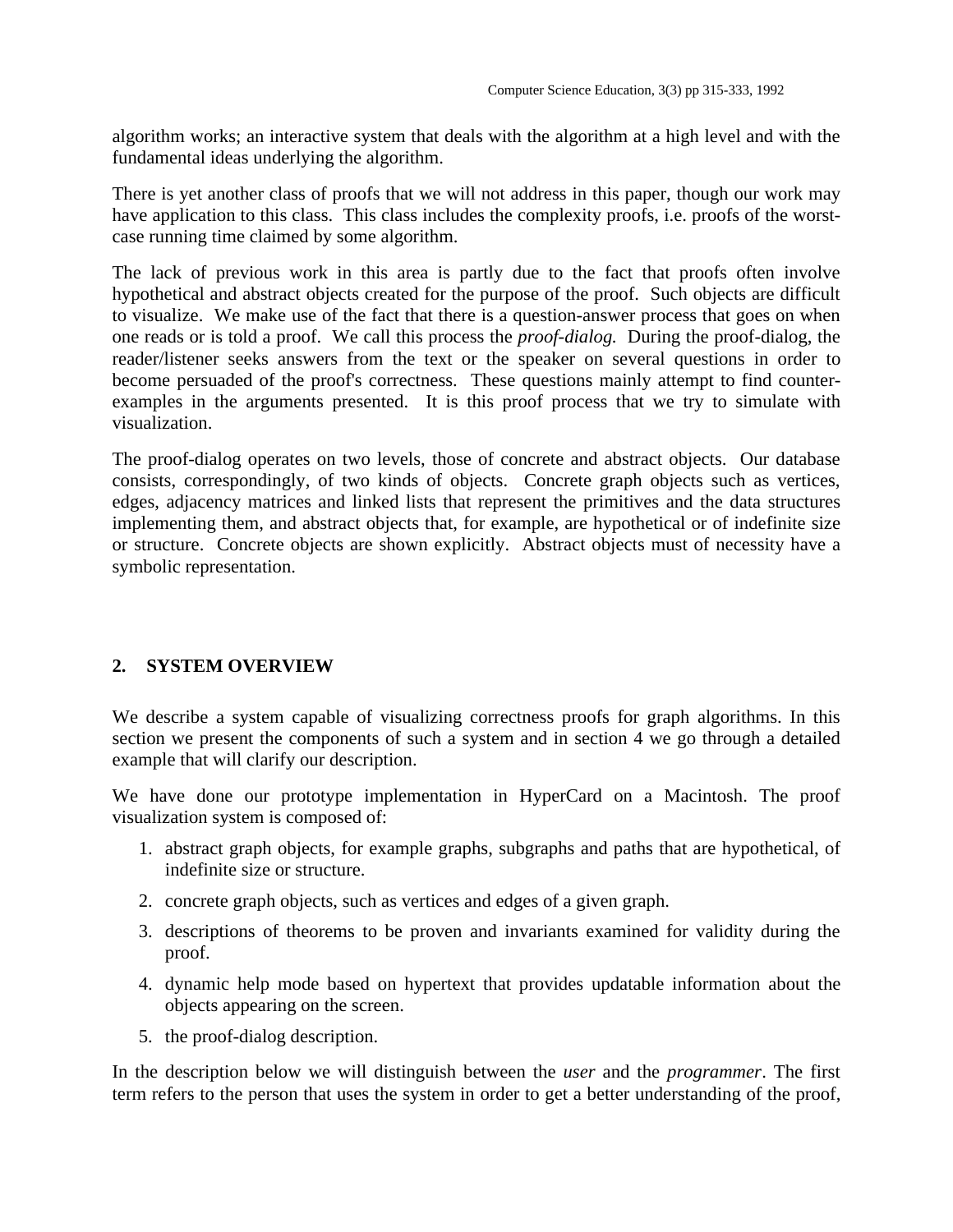algorithm works; an interactive system that deals with the algorithm at a high level and with the fundamental ideas underlying the algorithm.

There is yet another class of proofs that we will not address in this paper, though our work may have application to this class. This class includes the complexity proofs, i.e. proofs of the worstcase running time claimed by some algorithm.

The lack of previous work in this area is partly due to the fact that proofs often involve hypothetical and abstract objects created for the purpose of the proof. Such objects are difficult to visualize. We make use of the fact that there is a question-answer process that goes on when one reads or is told a proof. We call this process the *proof-dialog.* During the proof-dialog, the reader/listener seeks answers from the text or the speaker on several questions in order to become persuaded of the proof's correctness. These questions mainly attempt to find counterexamples in the arguments presented. It is this proof process that we try to simulate with visualization.

The proof-dialog operates on two levels, those of concrete and abstract objects. Our database consists, correspondingly, of two kinds of objects. Concrete graph objects such as vertices, edges, adjacency matrices and linked lists that represent the primitives and the data structures implementing them, and abstract objects that, for example, are hypothetical or of indefinite size or structure. Concrete objects are shown explicitly. Abstract objects must of necessity have a symbolic representation.

## **2. SYSTEM OVERVIEW**

We describe a system capable of visualizing correctness proofs for graph algorithms. In this section we present the components of such a system and in section 4 we go through a detailed example that will clarify our description.

We have done our prototype implementation in HyperCard on a Macintosh. The proof visualization system is composed of:

- 1. abstract graph objects, for example graphs, subgraphs and paths that are hypothetical, of indefinite size or structure.
- 2. concrete graph objects, such as vertices and edges of a given graph.
- 3. descriptions of theorems to be proven and invariants examined for validity during the proof.
- 4. dynamic help mode based on hypertext that provides updatable information about the objects appearing on the screen.
- 5. the proof-dialog description.

In the description below we will distinguish between the *user* and the *programmer*. The first term refers to the person that uses the system in order to get a better understanding of the proof,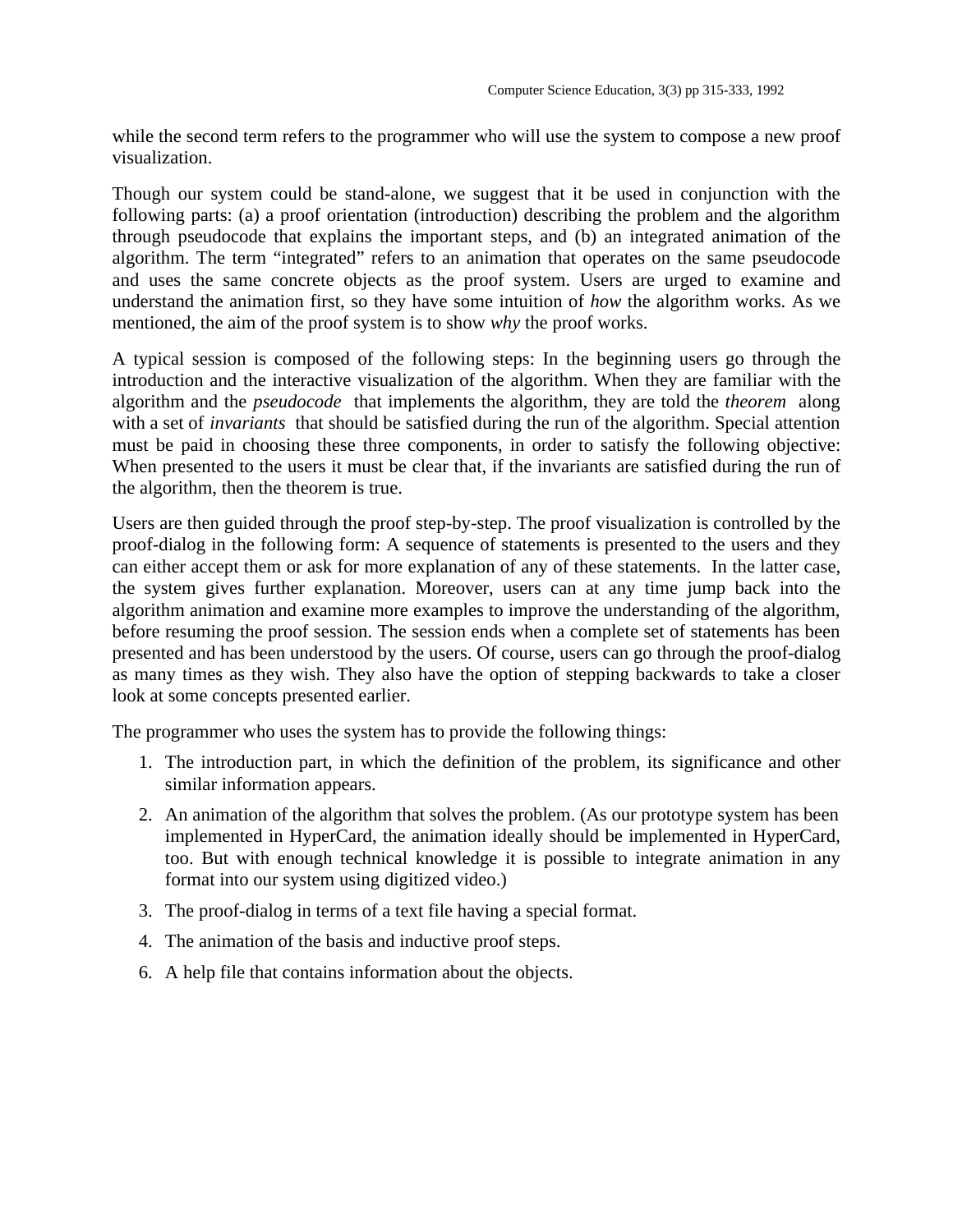while the second term refers to the programmer who will use the system to compose a new proof visualization.

Though our system could be stand-alone, we suggest that it be used in conjunction with the following parts: (a) a proof orientation (introduction) describing the problem and the algorithm through pseudocode that explains the important steps, and (b) an integrated animation of the algorithm. The term "integrated" refers to an animation that operates on the same pseudocode and uses the same concrete objects as the proof system. Users are urged to examine and understand the animation first, so they have some intuition of *how* the algorithm works. As we mentioned, the aim of the proof system is to show *why* the proof works.

A typical session is composed of the following steps: In the beginning users go through the introduction and the interactive visualization of the algorithm. When they are familiar with the algorithm and the *pseudocode* that implements the algorithm, they are told the *theorem* along with a set of *invariants* that should be satisfied during the run of the algorithm. Special attention must be paid in choosing these three components, in order to satisfy the following objective: When presented to the users it must be clear that, if the invariants are satisfied during the run of the algorithm, then the theorem is true.

Users are then guided through the proof step-by-step. The proof visualization is controlled by the proof-dialog in the following form: A sequence of statements is presented to the users and they can either accept them or ask for more explanation of any of these statements. In the latter case, the system gives further explanation. Moreover, users can at any time jump back into the algorithm animation and examine more examples to improve the understanding of the algorithm, before resuming the proof session. The session ends when a complete set of statements has been presented and has been understood by the users. Of course, users can go through the proof-dialog as many times as they wish. They also have the option of stepping backwards to take a closer look at some concepts presented earlier.

The programmer who uses the system has to provide the following things:

- 1. The introduction part, in which the definition of the problem, its significance and other similar information appears.
- 2. An animation of the algorithm that solves the problem. (As our prototype system has been implemented in HyperCard, the animation ideally should be implemented in HyperCard, too. But with enough technical knowledge it is possible to integrate animation in any format into our system using digitized video.)
- 3. The proof-dialog in terms of a text file having a special format.
- 4. The animation of the basis and inductive proof steps.
- 6. A help file that contains information about the objects.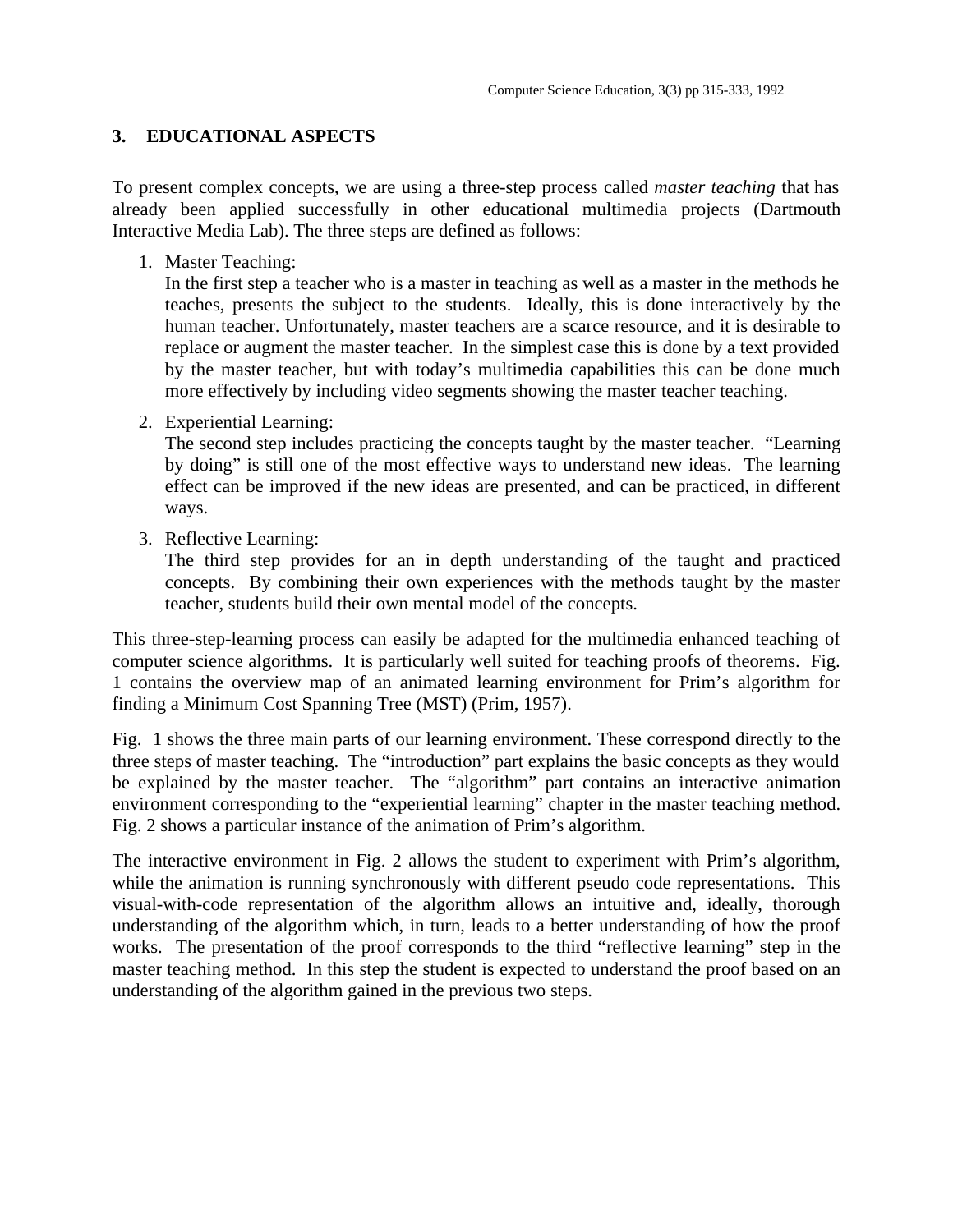# **3. EDUCATIONAL ASPECTS**

To present complex concepts, we are using a three-step process called *master teaching* that has already been applied successfully in other educational multimedia projects (Dartmouth Interactive Media Lab). The three steps are defined as follows:

1. Master Teaching:

In the first step a teacher who is a master in teaching as well as a master in the methods he teaches, presents the subject to the students. Ideally, this is done interactively by the human teacher. Unfortunately, master teachers are a scarce resource, and it is desirable to replace or augment the master teacher. In the simplest case this is done by a text provided by the master teacher, but with today's multimedia capabilities this can be done much more effectively by including video segments showing the master teacher teaching.

2. Experiential Learning:

The second step includes practicing the concepts taught by the master teacher. "Learning by doing" is still one of the most effective ways to understand new ideas. The learning effect can be improved if the new ideas are presented, and can be practiced, in different ways.

3. Reflective Learning:

The third step provides for an in depth understanding of the taught and practiced concepts. By combining their own experiences with the methods taught by the master teacher, students build their own mental model of the concepts.

This three-step-learning process can easily be adapted for the multimedia enhanced teaching of computer science algorithms. It is particularly well suited for teaching proofs of theorems. Fig. 1 contains the overview map of an animated learning environment for Prim's algorithm for finding a Minimum Cost Spanning Tree (MST) (Prim, 1957).

Fig. 1 shows the three main parts of our learning environment. These correspond directly to the three steps of master teaching. The "introduction" part explains the basic concepts as they would be explained by the master teacher. The "algorithm" part contains an interactive animation environment corresponding to the "experiential learning" chapter in the master teaching method. Fig. 2 shows a particular instance of the animation of Prim's algorithm.

The interactive environment in Fig. 2 allows the student to experiment with Prim's algorithm, while the animation is running synchronously with different pseudo code representations. This visual-with-code representation of the algorithm allows an intuitive and, ideally, thorough understanding of the algorithm which, in turn, leads to a better understanding of how the proof works. The presentation of the proof corresponds to the third "reflective learning" step in the master teaching method. In this step the student is expected to understand the proof based on an understanding of the algorithm gained in the previous two steps.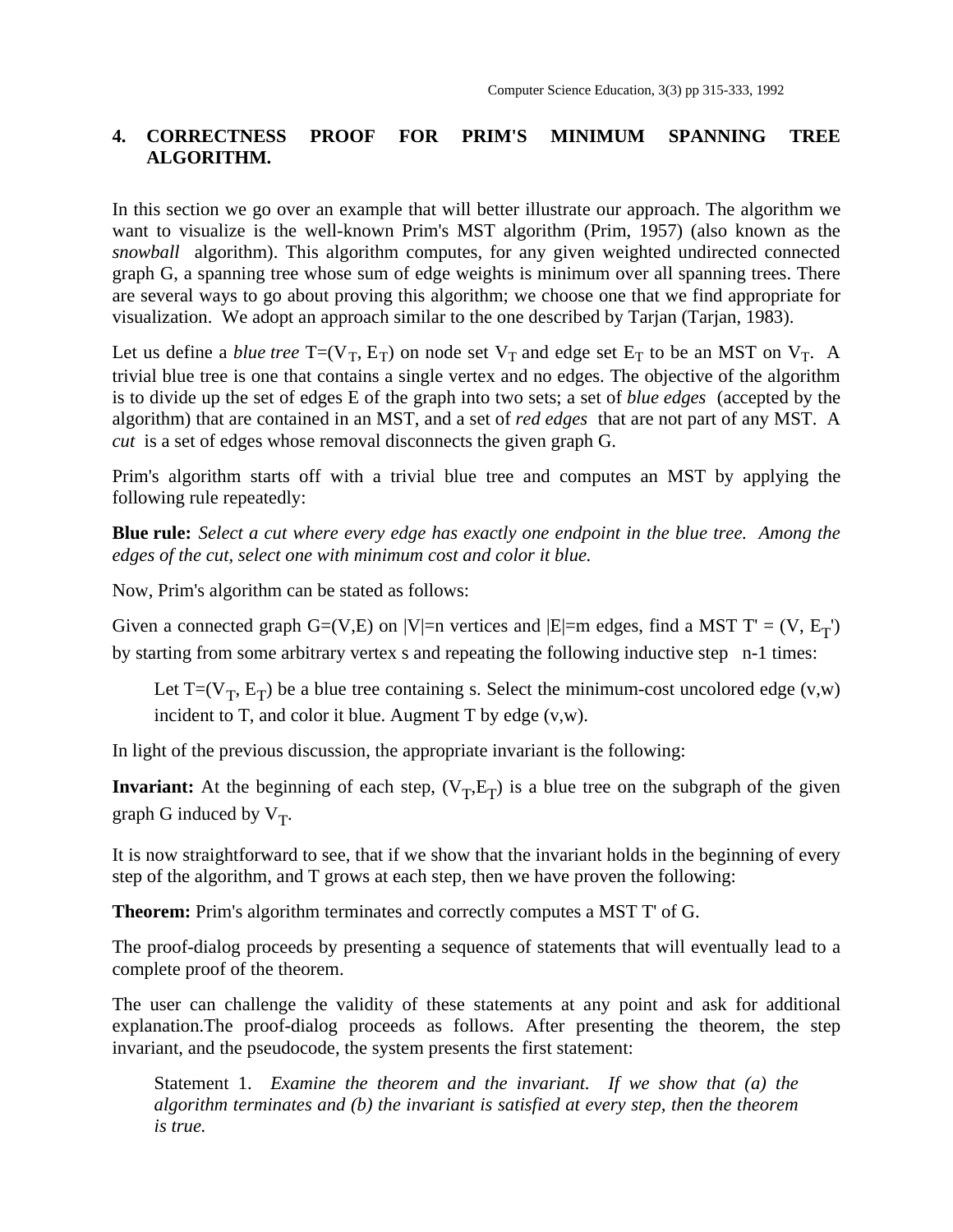## **4. CORRECTNESS PROOF FOR PRIM'S MINIMUM SPANNING TREE ALGORITHM.**

In this section we go over an example that will better illustrate our approach. The algorithm we want to visualize is the well-known Prim's MST algorithm (Prim, 1957) (also known as the *snowball* algorithm). This algorithm computes, for any given weighted undirected connected graph G, a spanning tree whose sum of edge weights is minimum over all spanning trees. There are several ways to go about proving this algorithm; we choose one that we find appropriate for visualization. We adopt an approach similar to the one described by Tarjan (Tarjan, 1983).

Let us define a *blue tree*  $T=(V_T, E_T)$  on node set  $V_T$  and edge set  $E_T$  to be an MST on  $V_T$ . A trivial blue tree is one that contains a single vertex and no edges. The objective of the algorithm is to divide up the set of edges E of the graph into two sets; a set of *blue edges* (accepted by the algorithm) that are contained in an MST, and a set of *red edges* that are not part of any MST. A *cut* is a set of edges whose removal disconnects the given graph G.

Prim's algorithm starts off with a trivial blue tree and computes an MST by applying the following rule repeatedly:

**Blue rule:** *Select a cut where every edge has exactly one endpoint in the blue tree. Among the edges of the cut, select one with minimum cost and color it blue.*

Now, Prim's algorithm can be stated as follows:

Given a connected graph G=(V,E) on |V|=n vertices and |E|=m edges, find a MST T' = (V,  $E_T$ ') by starting from some arbitrary vertex s and repeating the following inductive step n-1 times:

Let T=( $V_T$ ,  $E_T$ ) be a blue tree containing s. Select the minimum-cost uncolored edge (v,w) incident to T, and color it blue. Augment T by edge (v,w).

In light of the previous discussion, the appropriate invariant is the following:

**Invariant:** At the beginning of each step,  $(V_T, E_T)$  is a blue tree on the subgraph of the given graph G induced by  $V_T$ .

It is now straightforward to see, that if we show that the invariant holds in the beginning of every step of the algorithm, and T grows at each step, then we have proven the following:

**Theorem:** Prim's algorithm terminates and correctly computes a MST T' of G.

The proof-dialog proceeds by presenting a sequence of statements that will eventually lead to a complete proof of the theorem.

The user can challenge the validity of these statements at any point and ask for additional explanation.The proof-dialog proceeds as follows. After presenting the theorem, the step invariant, and the pseudocode, the system presents the first statement:

Statement 1. *Examine the theorem and the invariant. If we show that (a) the algorithm terminates and (b) the invariant is satisfied at every step, then the theorem is true.*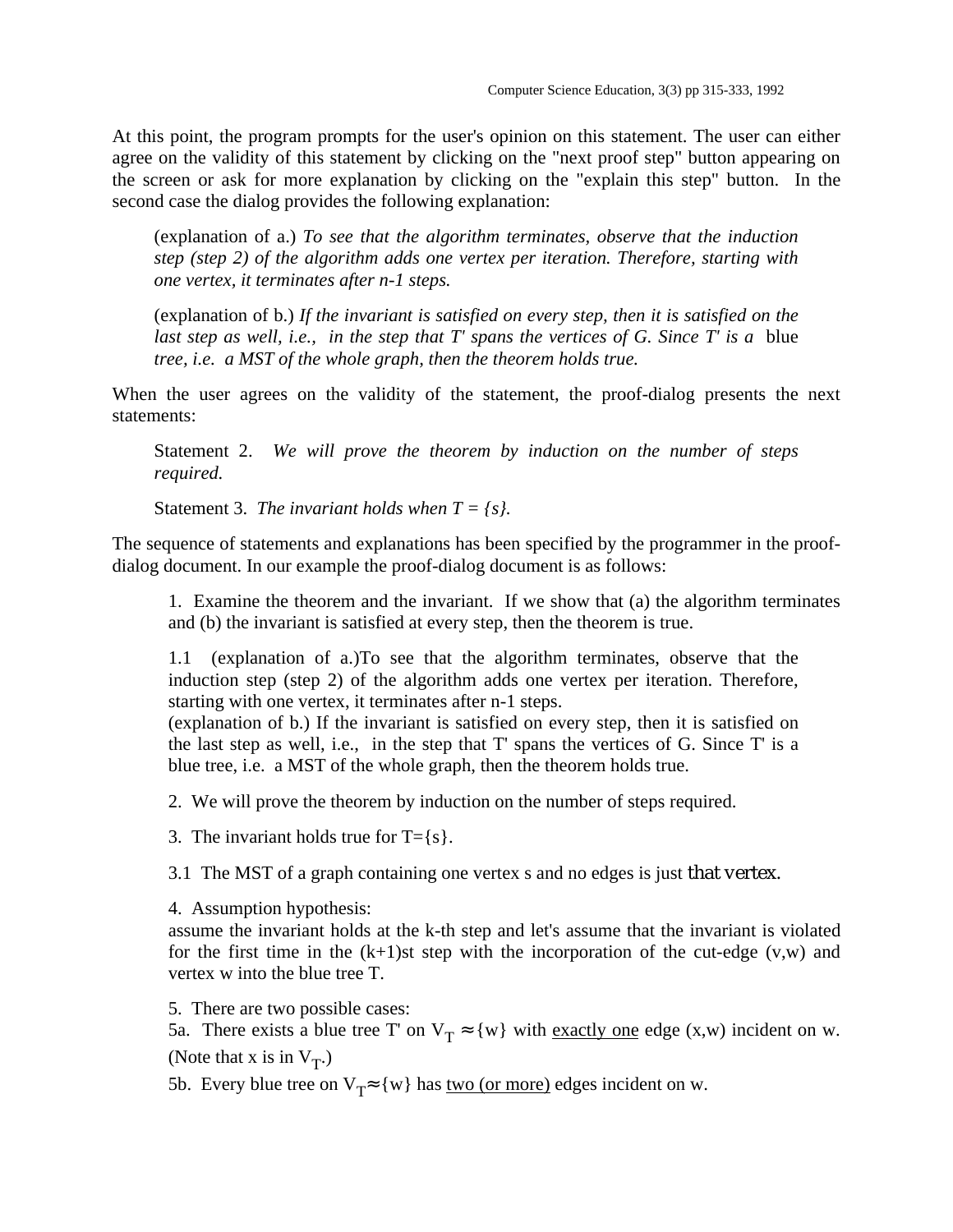At this point, the program prompts for the user's opinion on this statement. The user can either agree on the validity of this statement by clicking on the "next proof step" button appearing on the screen or ask for more explanation by clicking on the "explain this step" button. In the second case the dialog provides the following explanation:

(explanation of a.) *To see that the algorithm terminates, observe that the induction step (step 2) of the algorithm adds one vertex per iteration. Therefore, starting with one vertex, it terminates after n-1 steps.*

(explanation of b.) *If the invariant is satisfied on every step, then it is satisfied on the last step as well, i.e., in the step that T' spans the vertices of G. Since T' is a blue tree, i.e. a MST of the whole graph, then the theorem holds true.*

When the user agrees on the validity of the statement, the proof-dialog presents the next statements:

Statement 2. *We will prove the theorem by induction on the number of steps required.*

Statement 3. *The invariant holds when T = {s}.*

The sequence of statements and explanations has been specified by the programmer in the proofdialog document. In our example the proof-dialog document is as follows:

1. Examine the theorem and the invariant. If we show that (a) the algorithm terminates and (b) the invariant is satisfied at every step, then the theorem is true.

1.1 (explanation of a.)To see that the algorithm terminates, observe that the induction step (step 2) of the algorithm adds one vertex per iteration. Therefore, starting with one vertex, it terminates after n-1 steps.

(explanation of b.) If the invariant is satisfied on every step, then it is satisfied on the last step as well, i.e., in the step that T' spans the vertices of G. Since T' is a blue tree, i.e. a MST of the whole graph, then the theorem holds true.

2. We will prove the theorem by induction on the number of steps required.

3. The invariant holds true for  $T = \{s\}.$ 

3.1 The MST of a graph containing one vertex s and no edges is just that vertex.

4. Assumption hypothesis:

assume the invariant holds at the k-th step and let's assume that the invariant is violated for the first time in the  $(k+1)$ st step with the incorporation of the cut-edge  $(v,w)$  and vertex w into the blue tree T.

5. There are two possible cases:

5a. There exists a blue tree T' on  $V_T$  {w} with <u>exactly one</u> edge (x,w) incident on w. (Note that x is in  $V_T$ .)

5b. Every blue tree on  $V_T$  {w} has <u>two (or more)</u> edges incident on w.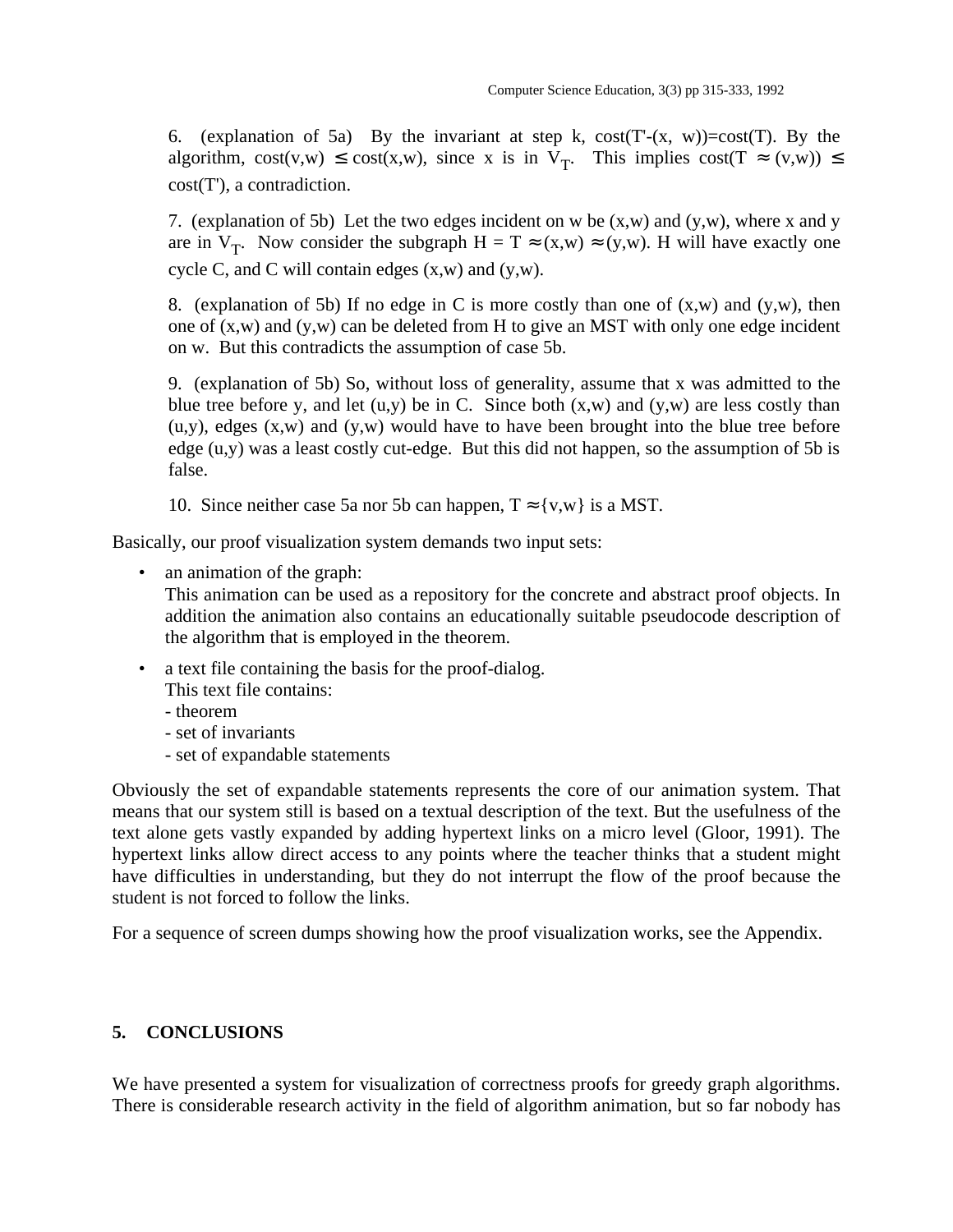6. (explanation of 5a) By the invariant at step k,  $cost(T-(x, w)) = cost(T)$ . By the algorithm,  $cost(v,w)$  cost(x,w), since x is in  $V_T$ . This implies cost(T (v,w)) cost(T'), a contradiction.

7. (explanation of 5b) Let the two edges incident on w be  $(x, w)$  and  $(y, w)$ , where x and y are in  $V_T$ . Now consider the subgraph  $H = T$  (x,w) (y,w). H will have exactly one cycle C, and C will contain edges  $(x,w)$  and  $(y,w)$ .

8. (explanation of 5b) If no edge in C is more costly than one of  $(x, w)$  and  $(y, w)$ , then one of  $(x, w)$  and  $(y, w)$  can be deleted from H to give an MST with only one edge incident on w. But this contradicts the assumption of case 5b.

9. (explanation of 5b) So, without loss of generality, assume that x was admitted to the blue tree before y, and let  $(u,y)$  be in C. Since both  $(x,w)$  and  $(y,w)$  are less costly than  $(u,y)$ , edges  $(x,w)$  and  $(y,w)$  would have to have been brought into the blue tree before edge (u,y) was a least costly cut-edge. But this did not happen, so the assumption of 5b is false.

10. Since neither case 5a nor 5b can happen, T {v,w} is a MST.

Basically, our proof visualization system demands two input sets:

• an animation of the graph:

This animation can be used as a repository for the concrete and abstract proof objects. In addition the animation also contains an educationally suitable pseudocode description of the algorithm that is employed in the theorem.

- a text file containing the basis for the proof-dialog. This text file contains:
	- theorem
	- set of invariants
	- set of expandable statements

Obviously the set of expandable statements represents the core of our animation system. That means that our system still is based on a textual description of the text. But the usefulness of the text alone gets vastly expanded by adding hypertext links on a micro level (Gloor, 1991). The hypertext links allow direct access to any points where the teacher thinks that a student might have difficulties in understanding, but they do not interrupt the flow of the proof because the student is not forced to follow the links.

For a sequence of screen dumps showing how the proof visualization works, see the Appendix.

## **5. CONCLUSIONS**

We have presented a system for visualization of correctness proofs for greedy graph algorithms. There is considerable research activity in the field of algorithm animation, but so far nobody has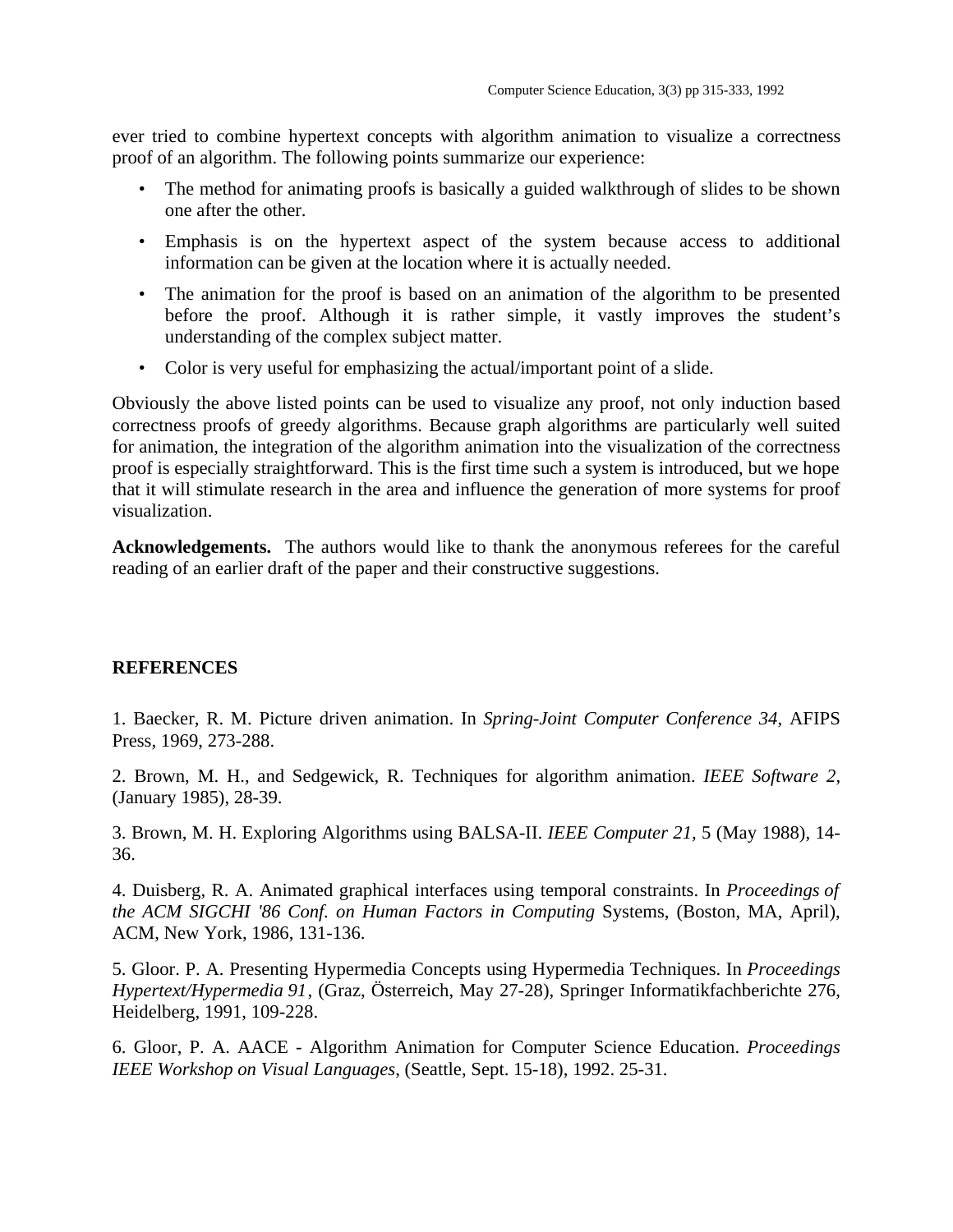ever tried to combine hypertext concepts with algorithm animation to visualize a correctness proof of an algorithm. The following points summarize our experience:

- The method for animating proofs is basically a guided walkthrough of slides to be shown one after the other.
- Emphasis is on the hypertext aspect of the system because access to additional information can be given at the location where it is actually needed.
- The animation for the proof is based on an animation of the algorithm to be presented before the proof. Although it is rather simple, it vastly improves the student's understanding of the complex subject matter.
- Color is very useful for emphasizing the actual/important point of a slide.

Obviously the above listed points can be used to visualize any proof, not only induction based correctness proofs of greedy algorithms. Because graph algorithms are particularly well suited for animation, the integration of the algorithm animation into the visualization of the correctness proof is especially straightforward. This is the first time such a system is introduced, but we hope that it will stimulate research in the area and influence the generation of more systems for proof visualization.

**Acknowledgements.** The authors would like to thank the anonymous referees for the careful reading of an earlier draft of the paper and their constructive suggestions.

#### **REFERENCES**

1. Baecker, R. M. Picture driven animation. In *Spring-Joint Computer Conference 34*, AFIPS Press, 1969, 273-288.

2. Brown, M. H., and Sedgewick, R. Techniques for algorithm animation. *IEEE Software 2*, (January 1985), 28-39.

3. Brown, M. H. Exploring Algorithms using BALSA-II. *IEEE Computer 21,* 5 (May 1988), 14- 36.

4. Duisberg, R. A. Animated graphical interfaces using temporal constraints. In *Proceedings of the ACM SIGCHI '86 Conf. on Human Factors in Computing* Systems, (Boston, MA, April), ACM, New York, 1986, 131-136.

5. Gloor. P. A. Presenting Hypermedia Concepts using Hypermedia Techniques. In *Proceedings Hypertext/Hypermedia 91*, (Graz, Österreich, May 27-28), Springer Informatikfachberichte 276, Heidelberg, 1991, 109-228.

6. Gloor, P. A. AACE - Algorithm Animation for Computer Science Education. *Proceedings IEEE Workshop on Visual Languages*, (Seattle, Sept. 15-18), 1992. 25-31.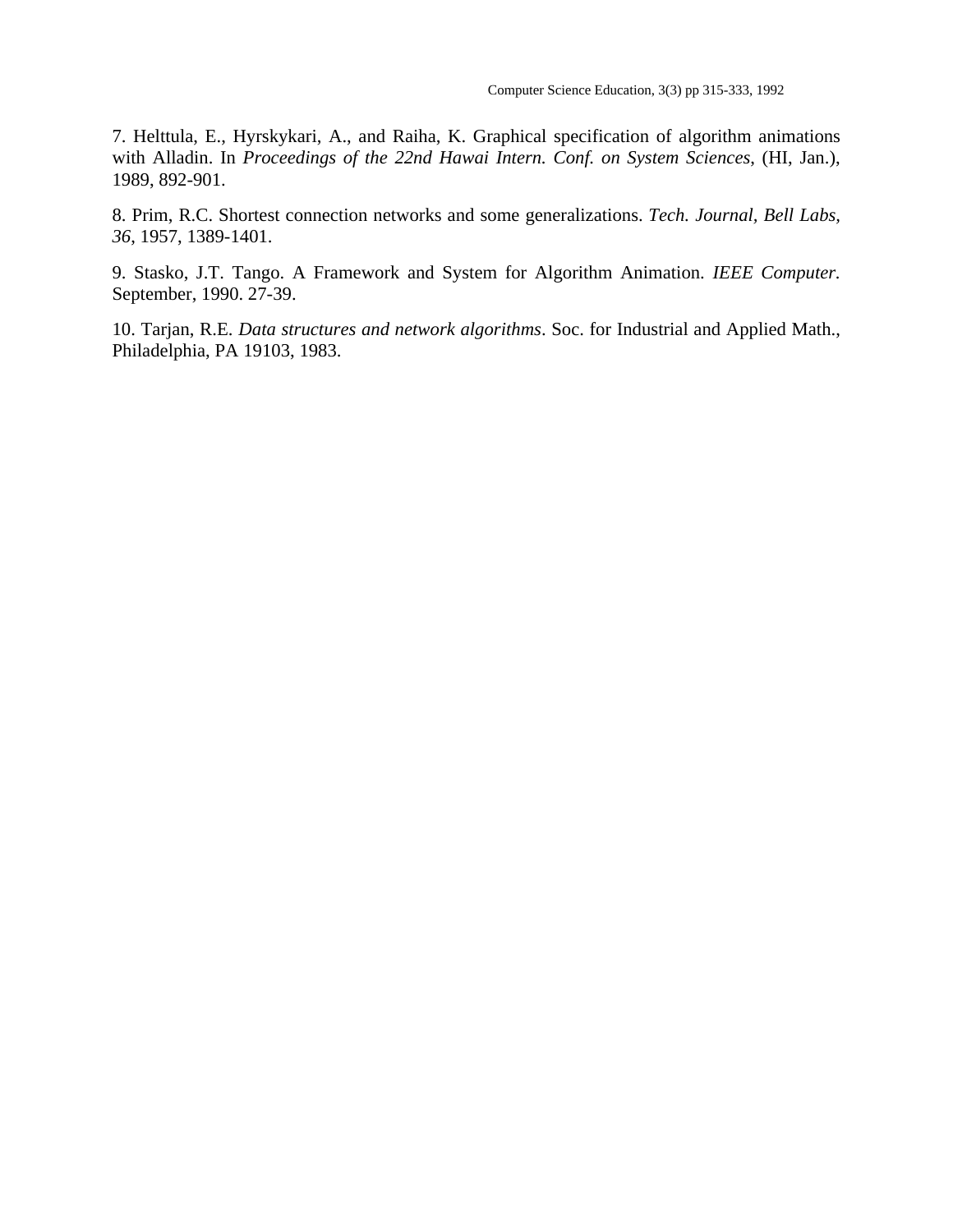7. Helttula, E., Hyrskykari, A., and Raiha, K. Graphical specification of algorithm animations with Alladin. In *Proceedings of the 22nd Hawai Intern. Conf. on System Sciences*, (HI, Jan.), 1989, 892-901.

8. Prim, R.C. Shortest connection networks and some generalizations. *Tech. Journal, Bell Labs, 36*, 1957, 1389-1401.

9. Stasko, J.T. Tango. A Framework and System for Algorithm Animation. *IEEE Computer.* September, 1990. 27-39.

10. Tarjan, R.E. *Data structures and network algorithms*. Soc. for Industrial and Applied Math., Philadelphia, PA 19103, 1983.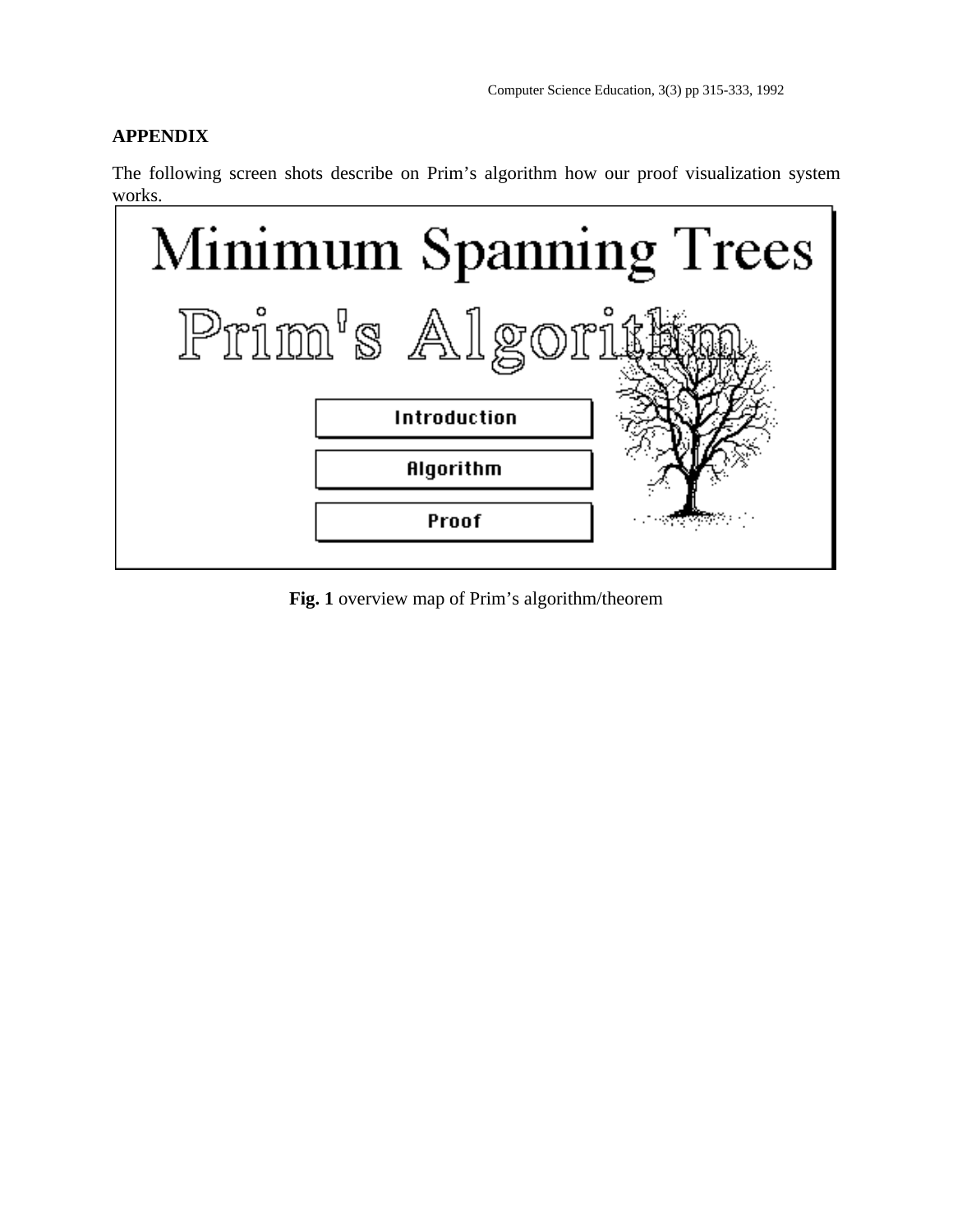# **APPENDIX**

The following screen shots describe on Prim's algorithm how our proof visualization system works.



**Fig. 1** overview map of Prim's algorithm/theorem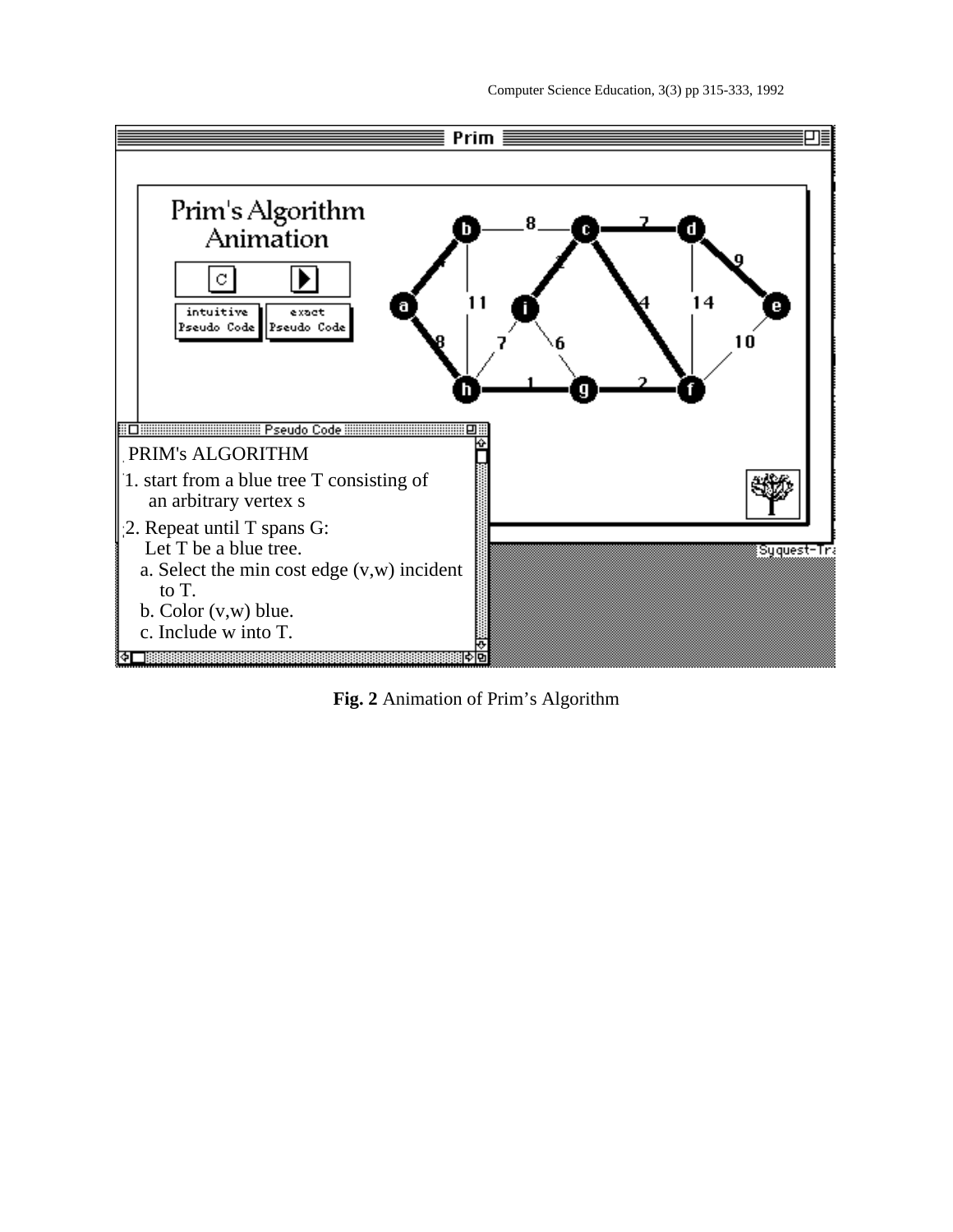

**Fig. 2** Animation of Prim's Algorithm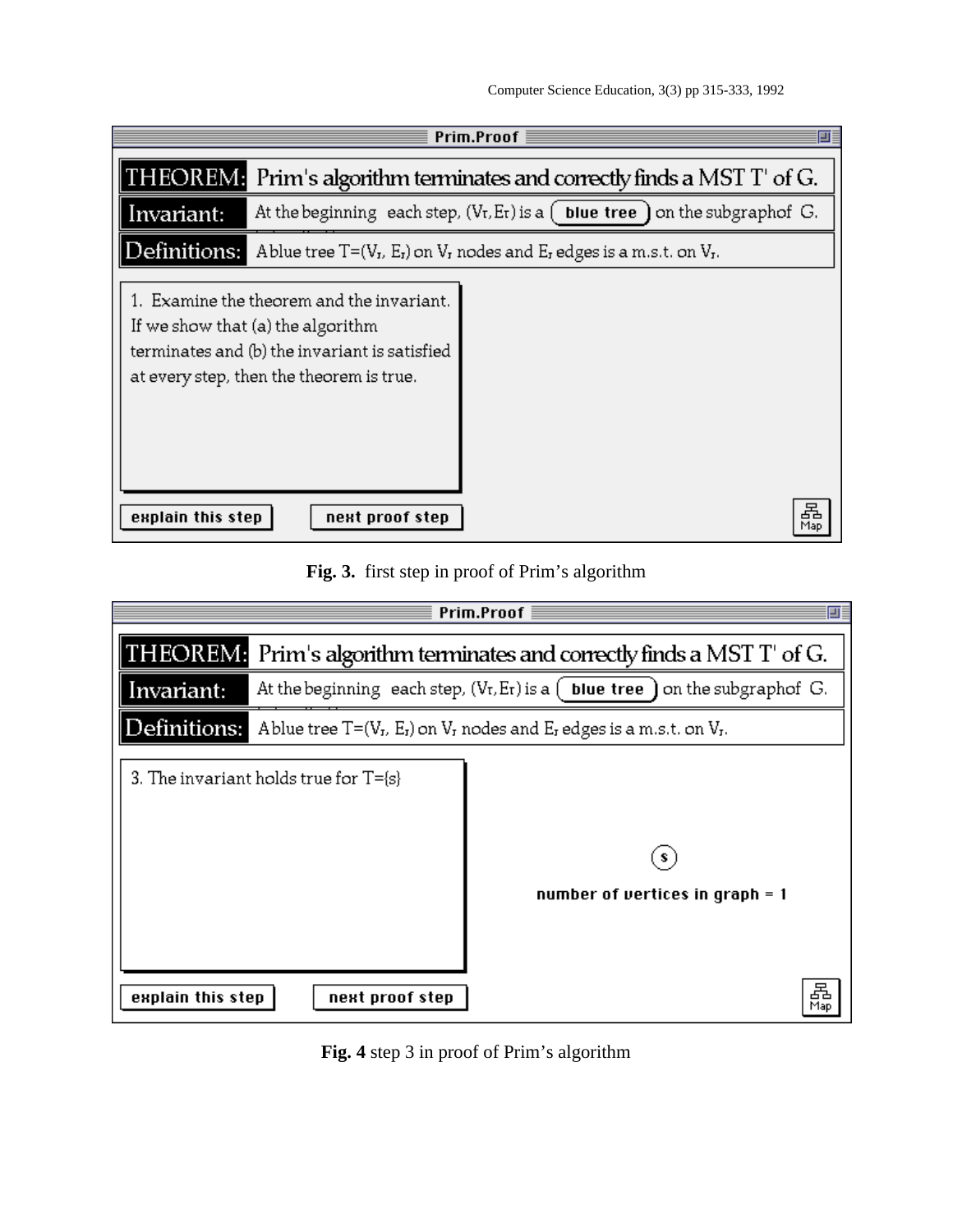

**Fig. 3.** first step in proof of Prim's algorithm



**Fig. 4** step 3 in proof of Prim's algorithm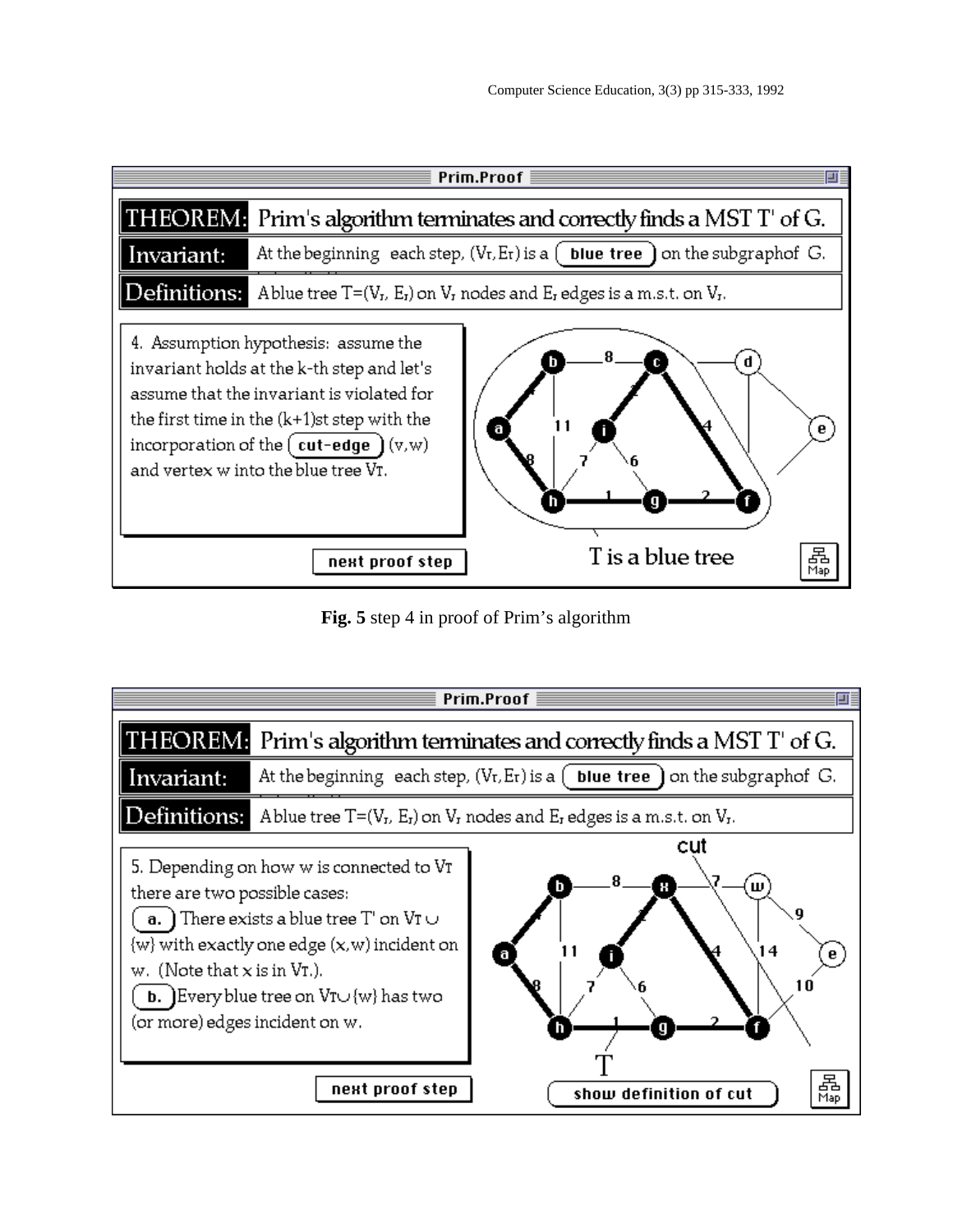

**Fig. 5** step 4 in proof of Prim's algorithm

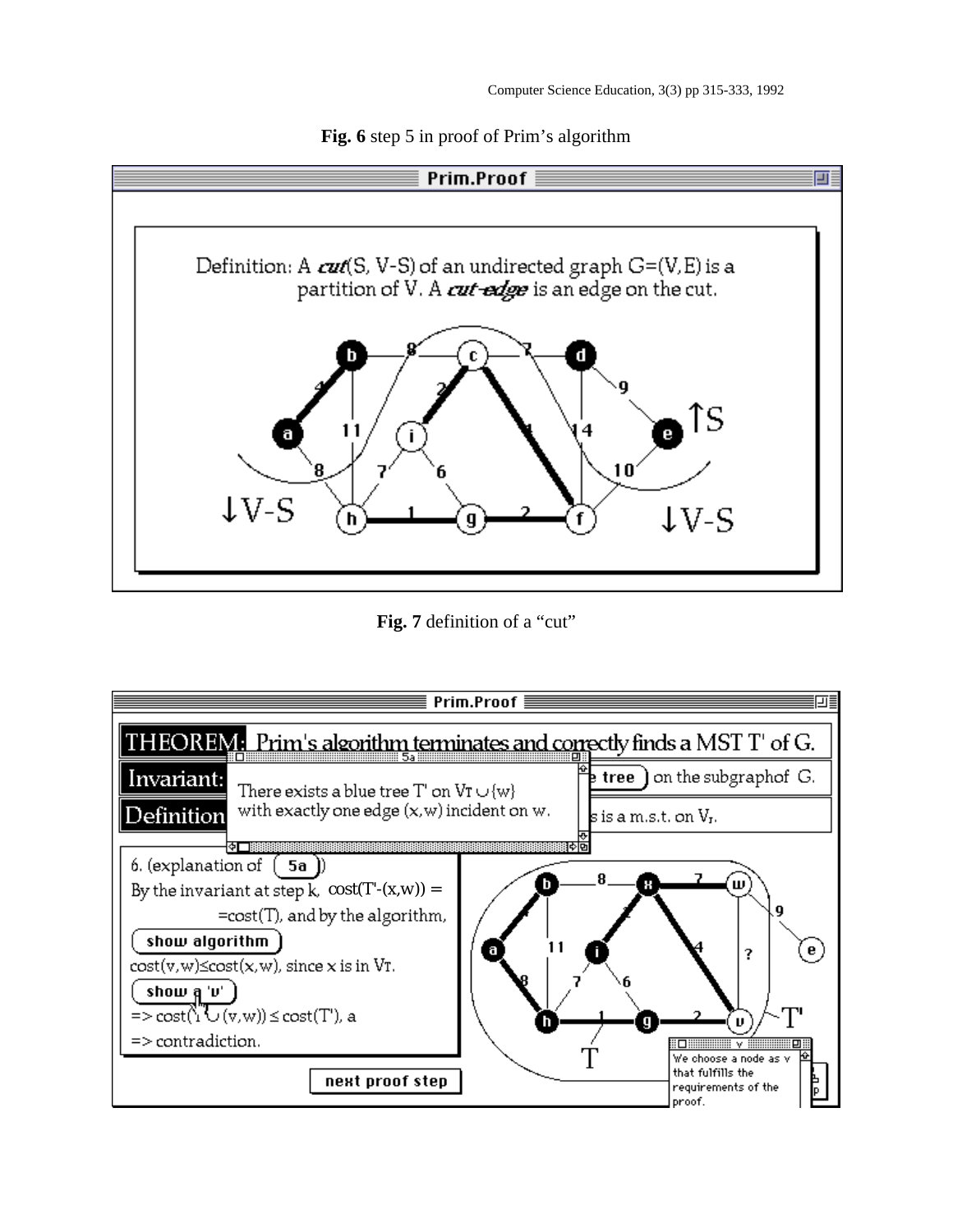**Fig. 6** step 5 in proof of Prim's algorithm



Fig. 7 definition of a "cut"

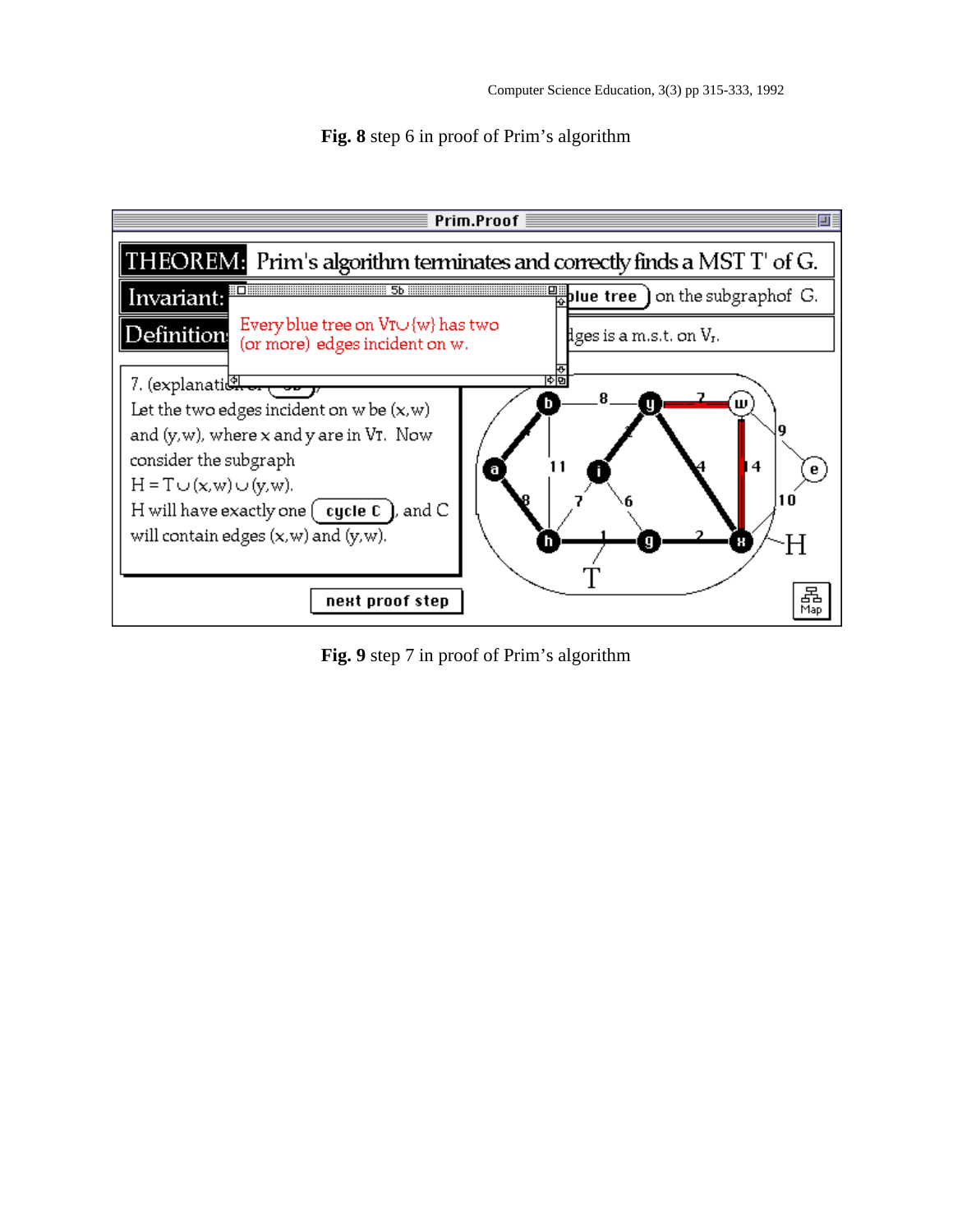#### **Fig. 8** step 6 in proof of Prim's algorithm

![](_page_15_Figure_2.jpeg)

**Fig. 9** step 7 in proof of Prim's algorithm